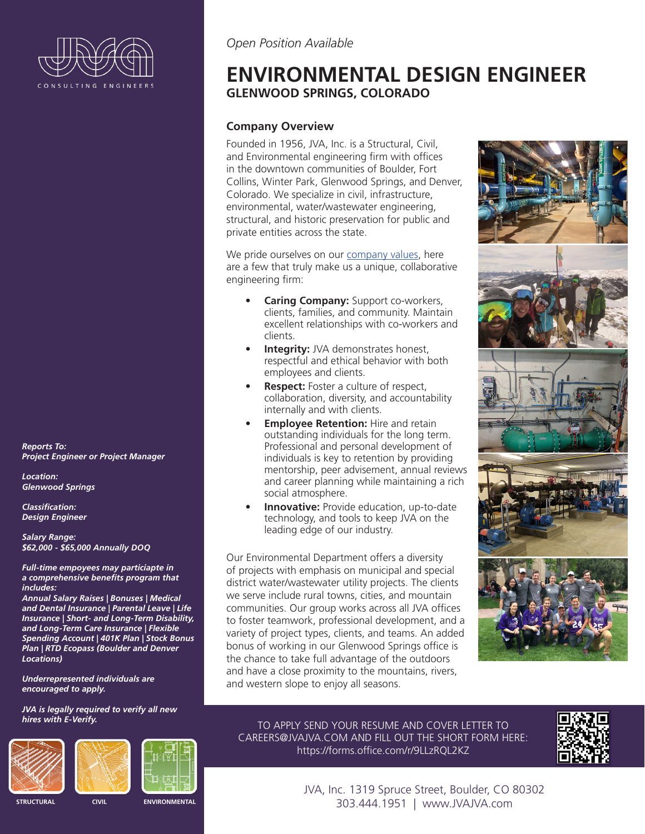

*Reports To: Project Engineer or Project Manager*

*Location: Glenwood Springs*

*Classification: Design Engineer*

*Salary Range: \$62,000 - \$65,000 Annually DOQ*

*Full-time empoyees may particiapte in a comprehensive benefits program that includes:* 

*Annual Salary Raises | Bonuses | Medical and Dental Insurance | Parental Leave | Life Insurance | Short- and Long-Term Disability, and Long-Term Care Insurance | Flexible Spending Account | 401K Plan | Stock Bonus Plan | RTD Ecopass (Boulder and Denver Locations)* 

*Underrepresented individuals are encouraged to apply.*

*JVA is legally required to verify all new hires with E-Verify.*





**STRUCTURAL CIVIL ENVIRONMENTAL** 

## *Open Position Available*

# **ENVIRONMENTAL DESIGN ENGINEER GLENWOOD SPRINGS, COLORADO**

#### **Company Overview**

Founded in 1956, JVA, Inc. is a Structural, Civil, and Environmental engineering firm with offices in the downtown communities of Boulder, Fort Collins, Winter Park, Glenwood Springs, and Denver, Colorado. We specialize in civil, infrastructure, environmental, water/wastewater engineering, structural, and historic preservation for public and private entities across the state.

We pride ourselves on our [company values](https://www.jvajva.com/culture/), here are a few that truly make us a unique, collaborative engineering firm:

- **Caring Company:** Support co-workers, clients, families, and community. Maintain excellent relationships with co-workers and clients.
- **Integrity:** JVA demonstrates honest, respectful and ethical behavior with both employees and clients.
- **Respect:** Foster a culture of respect, collaboration, diversity, and accountability internally and with clients.
- **Employee Retention:** Hire and retain outstanding individuals for the long term. Professional and personal development of individuals is key to retention by providing mentorship, peer advisement, annual reviews and career planning while maintaining a rich social atmosphere.
- **Innovative:** Provide education, up-to-date technology, and tools to keep JVA on the leading edge of our industry.

Our Environmental Department offers a diversity of projects with emphasis on municipal and special district water/wastewater utility projects. The clients we serve include rural towns, cities, and mountain communities. Our group works across all JVA offices to foster teamwork, professional development, and a variety of project types, clients, and teams. An added bonus of working in our Glenwood Springs office is the chance to take full advantage of the outdoors and have a close proximity to the mountains, rivers, and western slope to enjoy all seasons.



TO APPLY SEND YOUR RESUME AND COVER LETTER TO CAREERS@JVAJVA.COM AND FILL OUT THE SHORT FORM HERE: https://forms.office.com/r/9LLzRQL2KZ



JVA, Inc. 1319 Spruce Street, Boulder, CO 80302 303.444.1951 | www.JVAJVA.com